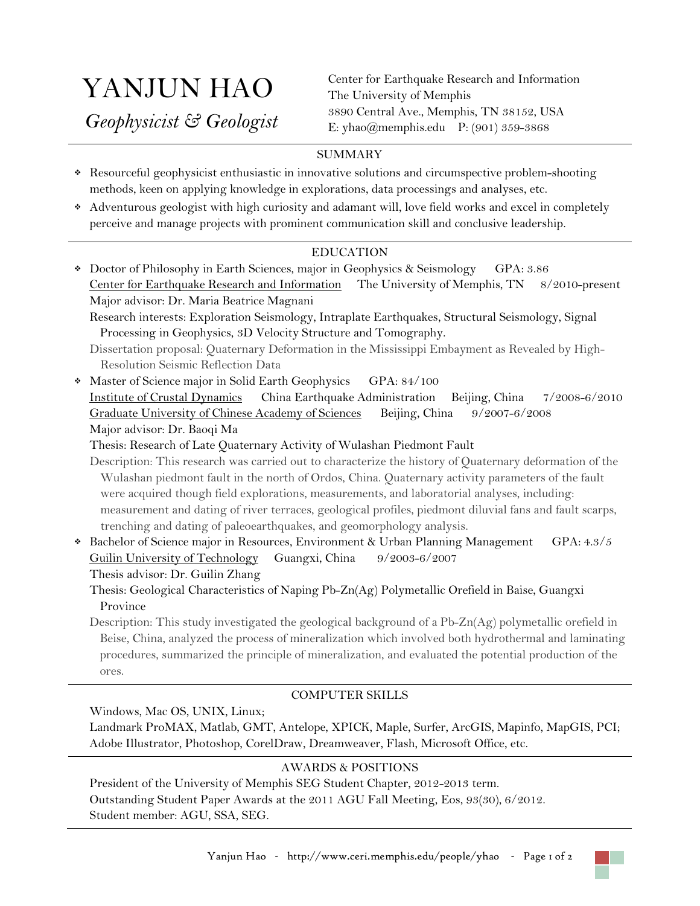# YANJUN HAO

 *Geophysicist & Geologist*

Center for Earthquake Research and Information The University of Memphis 3890 Central Ave., Memphis, TN 38152, USA E: [yhao@memphis.edu](mailto:yhao@memphis.edu) P: (901) 359-3868

# SUMMARY

- Resourceful geophysicist enthusiastic in innovative solutions and circumspective problem-shooting methods, keen on applying knowledge in explorations, data processings and analyses, etc.
- Adventurous geologist with high curiosity and adamant will, love field works and excel in completely perceive and manage projects with prominent communication skill and conclusive leadership.

# EDUCATION

 Doctor of Philosophy in Earth Sciences, major in Geophysics & Seismology GPA: 3.86 Center for Earthquake Research and Information The University of Memphis, TN 8/2010-present Major advisor: Dr. Maria Beatrice Magnani Research interests: Exploration Seismology, Intraplate Earthquakes, Structural Seismology, Signal Processing in Geophysics, 3D Velocity Structure and Tomography. Dissertation proposal: Quaternary Deformation in the Mississippi Embayment as Revealed by High-Resolution Seismic Reflection Data • Master of Science major in Solid Earth Geophysics GPA: 84/100 Institute of Crustal Dynamics China Earthquake Administration Beijing, China 7/2008-6/2010 Graduate University of Chinese Academy of Sciences Beijing, China 9/2007-6/2008 Major advisor: Dr. Baoqi Ma Thesis: Research of Late Quaternary Activity of Wulashan Piedmont Fault Description: This research was carried out to characterize the history of Quaternary deformation of the Wulashan piedmont fault in the north of Ordos, China. Quaternary activity parameters of the fault were acquired though field explorations, measurements, and laboratorial analyses, including: measurement and dating of river terraces, geological profiles, piedmont diluvial fans and fault scarps, trenching and dating of paleoearthquakes, and geomorphology analysis. Bachelor of Science major in Resources, Environment & Urban Planning Management GPA: 4.3/5 Guilin University of Technology Guangxi, China 9/2003-6/2007 Thesis advisor: Dr. Guilin Zhang Thesis: Geological Characteristics of Naping Pb-Zn(Ag) Polymetallic Orefield in Baise, Guangxi Province Description: This study investigated the geological background of a Pb-Zn(Ag) polymetallic orefield in

Beise, China, analyzed the process of mineralization which involved both hydrothermal and laminating procedures, summarized the principle of mineralization, and evaluated the potential production of the ores.

## COMPUTER SKILLS

Windows, Mac OS, UNIX, Linux;

Landmark ProMAX, Matlab, GMT, Antelope, XPICK, Maple, Surfer, ArcGIS, Mapinfo, MapGIS, PCI; Adobe Illustrator, Photoshop, CorelDraw, Dreamweaver, Flash, Microsoft Office, etc.

## AWARDS & POSITIONS

President of the University of Memphis SEG Student Chapter, 2012-2013 term. Outstanding Student Paper Awards at the 2011 AGU Fall Meeting, Eos, 93(30), 6/2012. Student member: AGU, SSA, SEG.